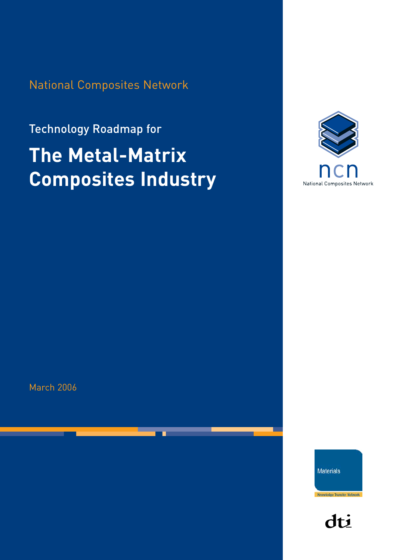National Composites Network

# Technology Roadmap for **The Metal-Matrix Composites Industry**



March 2006

**Materials** 

dti

Knowledge Transfer Network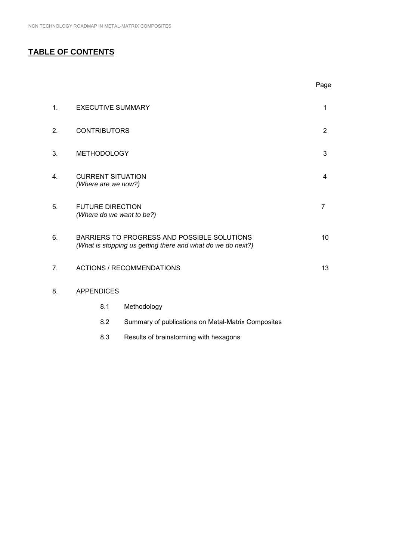# **TABLE OF CONTENTS**

|                |                                                      |                                                                                                            | Page           |
|----------------|------------------------------------------------------|------------------------------------------------------------------------------------------------------------|----------------|
| $\mathbf{1}$ . | <b>EXECUTIVE SUMMARY</b>                             |                                                                                                            | 1              |
| 2.             | <b>CONTRIBUTORS</b>                                  |                                                                                                            | $\overline{2}$ |
| 3.             | <b>METHODOLOGY</b>                                   |                                                                                                            | 3              |
| 4.             | <b>CURRENT SITUATION</b><br>(Where are we now?)      |                                                                                                            | 4              |
| 5.             | <b>FUTURE DIRECTION</b><br>(Where do we want to be?) |                                                                                                            | 7              |
| 6.             |                                                      | BARRIERS TO PROGRESS AND POSSIBLE SOLUTIONS<br>(What is stopping us getting there and what do we do next?) | 10             |
| 7.             |                                                      | <b>ACTIONS / RECOMMENDATIONS</b>                                                                           | 13             |
| 8.             | <b>APPENDICES</b>                                    |                                                                                                            |                |
|                | 8.1                                                  | Methodology                                                                                                |                |
|                | 8.2                                                  | Summary of publications on Metal-Matrix Composites                                                         |                |

8.3 Results of brainstorming with hexagons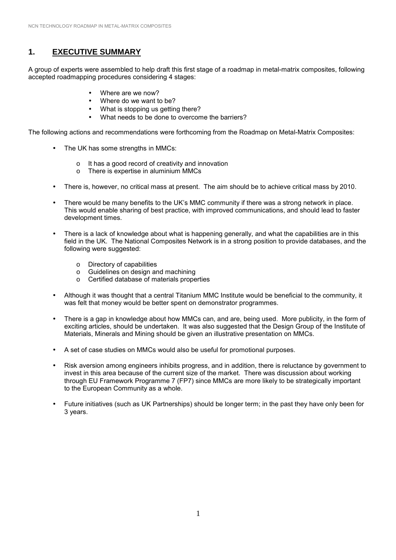# **1. EXECUTIVE SUMMARY**

A group of experts were assembled to help draft this first stage of a roadmap in metal-matrix composites, following accepted roadmapping procedures considering 4 stages:

- Where are we now?
- Where do we want to be?
- What is stopping us getting there?
- What needs to be done to overcome the barriers?

The following actions and recommendations were forthcoming from the Roadmap on Metal-Matrix Composites:

- The UK has some strengths in MMCs:
	- o It has a good record of creativity and innovation
	- o There is expertise in aluminium MMCs
- There is, however, no critical mass at present. The aim should be to achieve critical mass by 2010.
- There would be many benefits to the UK's MMC community if there was a strong network in place. This would enable sharing of best practice, with improved communications, and should lead to faster development times.
- There is a lack of knowledge about what is happening generally, and what the capabilities are in this field in the UK. The National Composites Network is in a strong position to provide databases, and the following were suggested:
	- o Directory of capabilities
	- o Guidelines on design and machining
	- o Certified database of materials properties
- Although it was thought that a central Titanium MMC Institute would be beneficial to the community, it was felt that money would be better spent on demonstrator programmes.
- There is a gap in knowledge about how MMCs can, and are, being used. More publicity, in the form of exciting articles, should be undertaken. It was also suggested that the Design Group of the Institute of Materials, Minerals and Mining should be given an illustrative presentation on MMCs.
- A set of case studies on MMCs would also be useful for promotional purposes.
- Risk aversion among engineers inhibits progress, and in addition, there is reluctance by government to invest in this area because of the current size of the market. There was discussion about working through EU Framework Programme 7 (FP7) since MMCs are more likely to be strategically important to the European Community as a whole.
- Future initiatives (such as UK Partnerships) should be longer term; in the past they have only been for 3 years.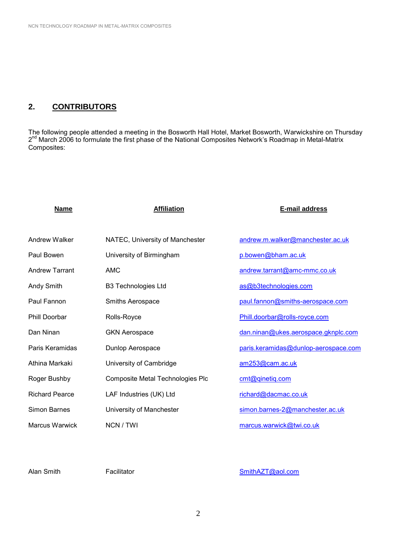# **2. CONTRIBUTORS**

The following people attended a meeting in the Bosworth Hall Hotel, Market Bosworth, Warwickshire on Thursday 2<sup>nd</sup> March 2006 to formulate the first phase of the National Composites Network's Roadmap in Metal-Matrix Composites:

| <b>Name</b>           | <b>Affiliation</b>               | E-mail address                       |
|-----------------------|----------------------------------|--------------------------------------|
|                       |                                  |                                      |
| Andrew Walker         | NATEC, University of Manchester  | andrew.m.walker@manchester.ac.uk     |
| Paul Bowen            | University of Birmingham         | p.bowen@bham.ac.uk                   |
| <b>Andrew Tarrant</b> | <b>AMC</b>                       | andrew.tarrant@amc-mmc.co.uk         |
| Andy Smith            | <b>B3 Technologies Ltd</b>       | as@b3technologies.com                |
| Paul Fannon           | Smiths Aerospace                 | paul.fannon@smiths-aerospace.com     |
| <b>Phill Doorbar</b>  | Rolls-Royce                      | Phill.doorbar@rolls-royce.com        |
| Dan Ninan             | <b>GKN Aerospace</b>             | dan.ninan@ukes.aerospace.gknplc.com  |
| Paris Keramidas       | Dunlop Aerospace                 | paris.keramidas@dunlop-aerospace.com |
| Athina Markaki        | University of Cambridge          | am253@cam.ac.uk                      |
| Roger Bushby          | Composite Metal Technologies Plc | cmt@qinetiq.com                      |
| <b>Richard Pearce</b> | LAF Industries (UK) Ltd          | richard@dacmac.co.uk                 |
| Simon Barnes          | University of Manchester         | simon.barnes-2@manchester.ac.uk      |
| <b>Marcus Warwick</b> | NCN / TWI                        | marcus.warwick@twi.co.uk             |

Alan Smith Facilitator Facilitator [SmithAZT@aol.com](mailto:SmithAZT@aol.com)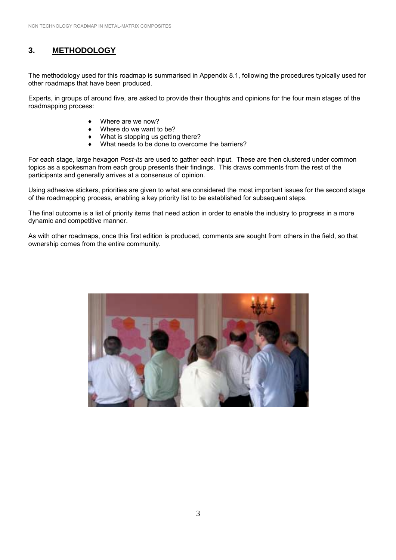# **3. METHODOLOGY**

The methodology used for this roadmap is summarised in Appendix 8.1, following the procedures typically used for other roadmaps that have been produced.

Experts, in groups of around five, are asked to provide their thoughts and opinions for the four main stages of the roadmapping process:

- Where are we now?
- Where do we want to be?
- What is stopping us getting there?
- What needs to be done to overcome the barriers?

For each stage, large hexagon *Post-its* are used to gather each input. These are then clustered under common topics as a spokesman from each group presents their findings. This draws comments from the rest of the participants and generally arrives at a consensus of opinion.

Using adhesive stickers, priorities are given to what are considered the most important issues for the second stage of the roadmapping process, enabling a key priority list to be established for subsequent steps.

The final outcome is a list of priority items that need action in order to enable the industry to progress in a more dynamic and competitive manner.

As with other roadmaps, once this first edition is produced, comments are sought from others in the field, so that ownership comes from the entire community.

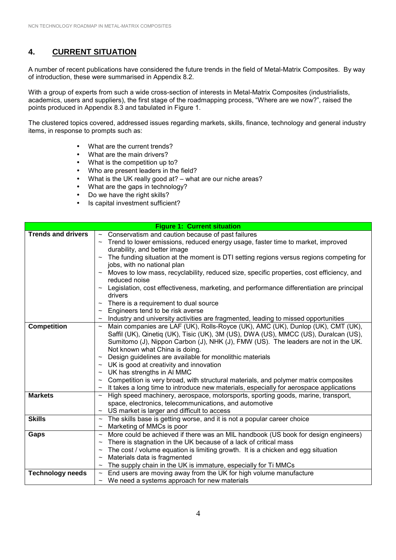# **4. CURRENT SITUATION**

A number of recent publications have considered the future trends in the field of Metal-Matrix Composites. By way of introduction, these were summarised in Appendix 8.2.

With a group of experts from such a wide cross-section of interests in Metal-Matrix Composites (industrialists, academics, users and suppliers), the first stage of the roadmapping process, "Where are we now?", raised the points produced in Appendix 8.3 and tabulated in Figure 1.

The clustered topics covered, addressed issues regarding markets, skills, finance, technology and general industry items, in response to prompts such as:

- What are the current trends?
- What are the main drivers?
- What is the competition up to?
- Who are present leaders in the field?
- What is the UK really good at? what are our niche areas?
- What are the gaps in technology?
- Do we have the right skills?
- Is capital investment sufficient?

|                           | <b>Figure 1: Current situation</b>                                                                                                                   |
|---------------------------|------------------------------------------------------------------------------------------------------------------------------------------------------|
| <b>Trends and drivers</b> | $\sim$ Conservatism and caution because of past failures                                                                                             |
|                           | ~ Trend to lower emissions, reduced energy usage, faster time to market, improved                                                                    |
|                           | durability, and better image                                                                                                                         |
|                           | The funding situation at the moment is DTI setting regions versus regions competing for<br>$\sim$                                                    |
|                           | jobs, with no national plan                                                                                                                          |
|                           | Moves to low mass, recyclability, reduced size, specific properties, cost efficiency, and                                                            |
|                           | reduced noise                                                                                                                                        |
|                           | Legislation, cost effectiveness, marketing, and performance differentiation are principal                                                            |
|                           | drivers                                                                                                                                              |
|                           | There is a requirement to dual source<br>$\thicksim$                                                                                                 |
|                           | Engineers tend to be risk averse                                                                                                                     |
|                           | Industry and university activities are fragmented, leading to missed opportunities<br>$\sim$                                                         |
| <b>Competition</b>        | Main companies are LAF (UK), Rolls-Royce (UK), AMC (UK), Dunlop (UK), CMT (UK),<br>$\sim$                                                            |
|                           | Saffil (UK), Qinetiq (UK), Tisic (UK), 3M (US), DWA (US), MMCC (US), Duralcan (US),                                                                  |
|                           | Sumitomo (J), Nippon Carbon (J), NHK (J), FMW (US). The leaders are not in the UK.                                                                   |
|                           | Not known what China is doing.                                                                                                                       |
|                           | Design guidelines are available for monolithic materials<br>$\thicksim$                                                                              |
|                           | UK is good at creativity and innovation<br>$\thicksim$                                                                                               |
|                           | UK has strengths in Al MMC<br>$\thicksim$                                                                                                            |
|                           | Competition is very broad, with structural materials, and polymer matrix composites                                                                  |
| <b>Markets</b>            | It takes a long time to introduce new materials, especially for aerospace applications<br>$\thicksim$                                                |
|                           | High speed machinery, aerospace, motorsports, sporting goods, marine, transport,<br>$\sim$<br>space, electronics, telecommunications, and automotive |
|                           | US market is larger and difficult to access<br>$\thicksim$                                                                                           |
| <b>Skills</b>             | The skills base is getting worse, and it is not a popular career choice<br>$\sim$                                                                    |
|                           | Marketing of MMCs is poor<br>$\thicksim$                                                                                                             |
| Gaps                      | More could be achieved if there was an MIL handbook (US book for design engineers)<br>$\sim$                                                         |
|                           | There is stagnation in the UK because of a lack of critical mass<br>$\thicksim$                                                                      |
|                           | The cost / volume equation is limiting growth. It is a chicken and egg situation<br>$\thicksim$                                                      |
|                           | Materials data is fragmented                                                                                                                         |
|                           | The supply chain in the UK is immature, especially for Ti MMCs<br>$\thicksim$                                                                        |
| <b>Technology needs</b>   | End users are moving away from the UK for high volume manufacture<br>$\thicksim$                                                                     |
|                           | We need a systems approach for new materials                                                                                                         |
|                           |                                                                                                                                                      |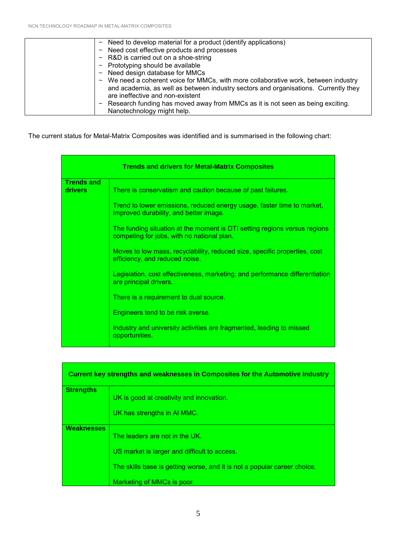| $\sim$ Need to develop material for a product (identify applications)                                                   |
|-------------------------------------------------------------------------------------------------------------------------|
| Need cost effective products and processes<br>$\sim$                                                                    |
| R&D is carried out on a shoe-string<br>$\sim$                                                                           |
| $\sim$ Prototyping should be available                                                                                  |
| Need design database for MMCs<br>$\sim$                                                                                 |
| $\sim$ We need a coherent voice for MMCs, with more collaborative work, between industry                                |
| and academia, as well as between industry sectors and organisations. Currently they<br>are ineffective and non-existent |
| Research funding has moved away from MMCs as it is not seen as being exciting.<br>$\sim$                                |
| Nanotechnology might help.                                                                                              |

The current status for Metal-Matrix Composites was identified and is summarised in the following chart:

| <b>Trends and drivers for Metal-Matrix Composites</b> |                                                                                                                         |  |
|-------------------------------------------------------|-------------------------------------------------------------------------------------------------------------------------|--|
| <b>Trends and</b><br><b>drivers</b>                   | There is conservatism and caution because of past failures.                                                             |  |
|                                                       | Trend to lower emissions, reduced energy usage, faster time to market,<br>improved durability, and better image.        |  |
|                                                       | The funding situation at the moment is DTI setting regions versus regions<br>competing for jobs, with no national plan. |  |
|                                                       | Moves to low mass, recyclability, reduced size, specific properties, cost<br>efficiency, and reduced noise.             |  |
|                                                       | Legislation, cost effectiveness, marketing, and performance differentiation<br>are principal drivers.                   |  |
|                                                       | There is a requirement to dual source.                                                                                  |  |
|                                                       | Engineers tend to be risk averse.                                                                                       |  |
|                                                       | Industry and university activities are fragmented, leading to missed<br>opportunities.                                  |  |

| <b>Current key strengths and weaknesses in Composites for the Automotive Industry</b> |                                                                          |  |
|---------------------------------------------------------------------------------------|--------------------------------------------------------------------------|--|
| <b>Strengths</b>                                                                      | UK is good at creativity and innovation.                                 |  |
|                                                                                       | UK has strengths in AI MMC.                                              |  |
| <b>Weaknesses</b>                                                                     | The leaders are not in the UK.                                           |  |
|                                                                                       | US market is larger and difficult to access.                             |  |
|                                                                                       | The skills base is getting worse, and it is not a popular career choice. |  |
|                                                                                       | Marketing of MMCs is poor.                                               |  |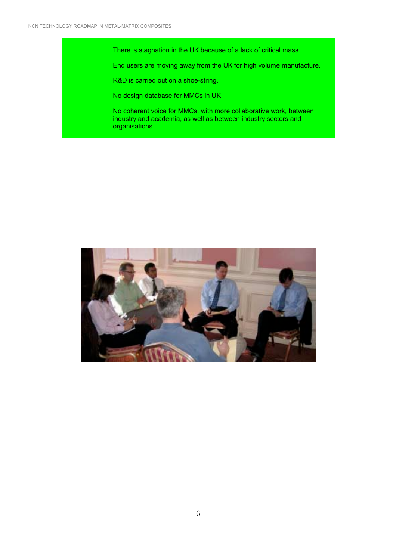There is stagnation in the UK because of a lack of critical mass. End users are moving away from the UK for high volume manufacture. R&D is carried out on a shoe-string. No design database for MMCs in UK. No coherent voice for MMCs, with more collaborative work, between industry and academia, as well as between industry sectors and organisations.

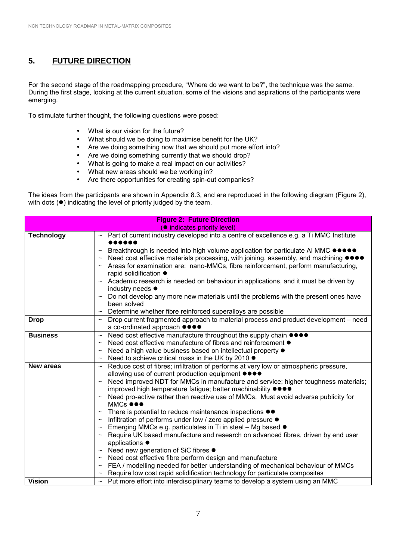# **5. FUTURE DIRECTION**

For the second stage of the roadmapping procedure, "Where do we want to be?", the technique was the same. During the first stage, looking at the current situation, some of the visions and aspirations of the participants were emerging.

To stimulate further thought, the following questions were posed:

- What is our vision for the future?
- What should we be doing to maximise benefit for the UK?
- Are we doing something now that we should put more effort into?
- Are we doing something currently that we should drop?
- What is going to make a real impact on our activities?
- What new areas should we be working in?
- Are there opportunities for creating spin-out companies?

The ideas from the participants are shown in Appendix 8.3, and are reproduced in the following diagram (Figure 2), with dots  $(•)$  indicating the level of priority judged by the team.

| <b>Figure 2: Future Direction</b>  |                                                                                                                                                  |  |
|------------------------------------|--------------------------------------------------------------------------------------------------------------------------------------------------|--|
| <b>•</b> indicates priority level) |                                                                                                                                                  |  |
| <b>Technology</b>                  | Part of current industry developed into a centre of excellence e.g. a Ti MMC Institute                                                           |  |
|                                    |                                                                                                                                                  |  |
|                                    | Breakthrough is needed into high volume application for particulate AI MMC ●●●●●<br>$\thicksim$                                                  |  |
|                                    | Need cost effective materials processing, with joining, assembly, and machining ●●●●                                                             |  |
|                                    | Areas for examination are: nano-MMCs, fibre reinforcement, perform manufacturing,                                                                |  |
|                                    | rapid solidification ●                                                                                                                           |  |
|                                    | Academic research is needed on behaviour in applications, and it must be driven by                                                               |  |
|                                    | industry needs ●                                                                                                                                 |  |
|                                    | Do not develop any more new materials until the problems with the present ones have                                                              |  |
|                                    | been solved                                                                                                                                      |  |
|                                    | Determine whether fibre reinforced superalloys are possible                                                                                      |  |
| <b>Drop</b>                        | Drop current fragmented approach to material process and product development – need<br>$\thicksim$                                               |  |
|                                    | a co-ordinated approach ●●●●                                                                                                                     |  |
| <b>Business</b>                    | Need cost effective manufacture throughout the supply chain ●●●●<br>$\thicksim$<br>Need cost effective manufacture of fibres and reinforcement ● |  |
|                                    | $\thicksim$                                                                                                                                      |  |
|                                    | Need a high value business based on intellectual property ●<br>Need to achieve critical mass in the UK by 2010 ●                                 |  |
| <b>New areas</b>                   | $\thicksim$<br>Reduce cost of fibres; infiltration of performs at very low or atmospheric pressure,<br>$\sim$                                    |  |
|                                    | allowing use of current production equipment $\bullet\bullet\bullet\bullet$                                                                      |  |
|                                    | Need improved NDT for MMCs in manufacture and service; higher toughness materials;                                                               |  |
|                                    | improved high temperature fatigue; better machinability $\bullet$                                                                                |  |
|                                    | Need pro-active rather than reactive use of MMCs. Must avoid adverse publicity for                                                               |  |
|                                    | MMCs $\bullet\bullet\bullet$                                                                                                                     |  |
|                                    | There is potential to reduce maintenance inspections $\bullet\bullet$<br>$\thicksim$                                                             |  |
|                                    | Infiltration of performs under low / zero applied pressure $\bullet$<br>$\sim$                                                                   |  |
|                                    | Emerging MMCs e.g. particulates in Ti in steel – Mg based ●                                                                                      |  |
|                                    | Require UK based manufacture and research on advanced fibres, driven by end user                                                                 |  |
|                                    | applications ●                                                                                                                                   |  |
|                                    | Need new generation of SiC fibres ●<br>$\thicksim$                                                                                               |  |
|                                    | Need cost effective fibre perform design and manufacture<br>$\thicksim$                                                                          |  |
|                                    | FEA / modelling needed for better understanding of mechanical behaviour of MMCs<br>$\thicksim$                                                   |  |
|                                    | Require low cost rapid solidification technology for particulate composites                                                                      |  |
| <b>Vision</b>                      | Put more effort into interdisciplinary teams to develop a system using an MMC<br>$\sim$                                                          |  |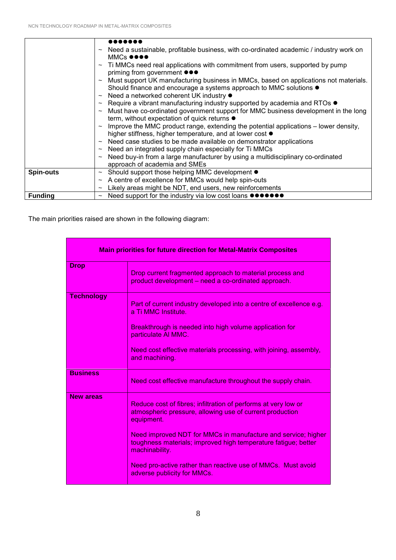|                  | Need a sustainable, profitable business, with co-ordinated academic / industry work on             |
|------------------|----------------------------------------------------------------------------------------------------|
|                  | MMCs $\bullet\bullet\bullet\bullet$                                                                |
|                  | Ti MMCs need real applications with commitment from users, supported by pump                       |
|                  | priming from government $\bullet \bullet \bullet$                                                  |
|                  | Must support UK manufacturing business in MMCs, based on applications not materials.               |
|                  | Should finance and encourage a systems approach to MMC solutions ●                                 |
|                  | Need a networked coherent UK industry ●<br>$\sim$                                                  |
|                  | Require a vibrant manufacturing industry supported by academia and RTOs ●<br>$\sim$                |
|                  | Must have co-ordinated government support for MMC business development in the long<br>$\thicksim$  |
|                  | term, without expectation of quick returns $\bullet$                                               |
|                  | Improve the MMC product range, extending the potential applications - lower density,               |
|                  | higher stiffness, higher temperature, and at lower cost $\bullet$                                  |
|                  | $\sim$ Need case studies to be made available on demonstrator applications                         |
|                  | Need an integrated supply chain especially for Ti MMCs<br>$\thicksim$                              |
|                  | Need buy-in from a large manufacturer by using a multidisciplinary co-ordinated                    |
|                  | approach of academia and SMEs                                                                      |
| <b>Spin-outs</b> | Should support those helping MMC development $\bullet$<br>$\sim$                                   |
|                  | A centre of excellence for MMCs would help spin-outs<br>$\sim$                                     |
|                  | Likely areas might be NDT, end users, new reinforcements<br>$\thicksim$                            |
| <b>Funding</b>   | Need support for the industry via low cost loans $\bullet \bullet \bullet \bullet \bullet \bullet$ |

The main priorities raised are shown in the following diagram:

| <b>Main priorities for future direction for Metal-Matrix Composites</b> |                                                                                                                                                   |
|-------------------------------------------------------------------------|---------------------------------------------------------------------------------------------------------------------------------------------------|
| <b>Drop</b>                                                             | Drop current fragmented approach to material process and<br>product development - need a co-ordinated approach.                                   |
| <b>Technology</b>                                                       | Part of current industry developed into a centre of excellence e.g.<br>a Ti MMC Institute.                                                        |
|                                                                         | Breakthrough is needed into high volume application for<br>particulate Al MMC.                                                                    |
|                                                                         | Need cost effective materials processing, with joining, assembly,<br>and machining.                                                               |
| <b>Business</b>                                                         | Need cost effective manufacture throughout the supply chain.                                                                                      |
| <b>New areas</b>                                                        | Reduce cost of fibres; infiltration of performs at very low or<br>atmospheric pressure, allowing use of current production<br>equipment.          |
|                                                                         | Need improved NDT for MMCs in manufacture and service; higher<br>toughness materials; improved high temperature fatigue; better<br>machinability. |
|                                                                         | Need pro-active rather than reactive use of MMCs. Must avoid<br>adverse publicity for MMCs.                                                       |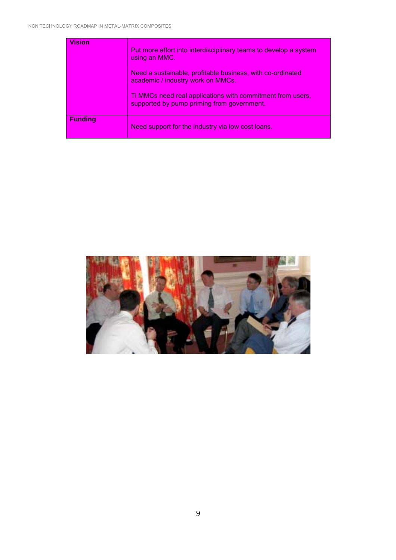| <b>Vision</b>  | Put more effort into interdisciplinary teams to develop a system<br>using an MMC.                        |
|----------------|----------------------------------------------------------------------------------------------------------|
|                | Need a sustainable, profitable business, with co-ordinated<br>academic / industry work on MMCs.          |
|                | Ti MMCs need real applications with commitment from users,<br>supported by pump priming from government. |
| <b>Funding</b> | Need support for the industry via low cost loans.                                                        |

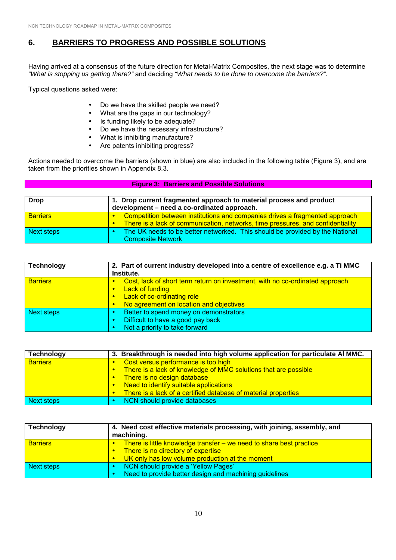# **6. BARRIERS TO PROGRESS AND POSSIBLE SOLUTIONS**

Having arrived at a consensus of the future direction for Metal-Matrix Composites, the next stage was to determine *"What is stopping us getting there?"* and deciding *"What needs to be done to overcome the barriers?"*.

Typical questions asked were:

- Do we have the skilled people we need?
- What are the gaps in our technology?
- Is funding likely to be adequate?
- Do we have the necessary infrastructure?
- What is inhibiting manufacture?
- Are patents inhibiting progress?

Actions needed to overcome the barriers (shown in blue) are also included in the following table (Figure 3), and are taken from the priorities shown in Appendix 8.3.

| <b>Figure 3: Barriers and Possible Solutions</b> |                                                                                                                                                                |
|--------------------------------------------------|----------------------------------------------------------------------------------------------------------------------------------------------------------------|
| <b>Drop</b>                                      | 1. Drop current fragmented approach to material process and product<br>development – need a co-ordinated approach.                                             |
| <b>Barriers</b>                                  | Competition between institutions and companies drives a fragmented approach<br>There is a lack of communication, networks, time pressures, and confidentiality |
| Next steps                                       | The UK needs to be better networked. This should be provided by the National<br><b>Composite Network</b>                                                       |

| <b>Technology</b> | 2. Part of current industry developed into a centre of excellence e.g. a Ti MMC<br>Institute.                                                                                                                          |
|-------------------|------------------------------------------------------------------------------------------------------------------------------------------------------------------------------------------------------------------------|
| <b>Barriers</b>   | Cost, lack of short term return on investment, with no co-ordinated approach<br><b>Lack of funding</b><br>$\bullet$<br>Lack of co-ordinating role<br>$\bullet$<br>No agreement on location and objectives<br>$\bullet$ |
| <b>Next steps</b> | Better to spend money on demonstrators<br>Difficult to have a good pay back<br>Not a priority to take forward                                                                                                          |

| <b>Technology</b> |  | 3. Breakthrough is needed into high volume application for particulate Al MMC. |
|-------------------|--|--------------------------------------------------------------------------------|
| <b>Barriers</b>   |  | Cost versus performance is too high                                            |
|                   |  | There is a lack of knowledge of MMC solutions that are possible                |
|                   |  | There is no design database                                                    |
|                   |  | Need to identify suitable applications                                         |
|                   |  | There is a lack of a certified database of material properties                 |
| Next steps        |  | NCN should provide databases                                                   |

| Technology      | 4. Need cost effective materials processing, with joining, assembly, and<br>machining.                                                                                                              |  |  |
|-----------------|-----------------------------------------------------------------------------------------------------------------------------------------------------------------------------------------------------|--|--|
| <b>Barriers</b> | There is little knowledge transfer – we need to share best practice<br>$\bullet$<br>There is no directory of expertise<br>$\bullet$<br>UK only has low volume production at the moment<br>$\bullet$ |  |  |
| Next steps      | NCN should provide a 'Yellow Pages'<br>Need to provide better design and machining guidelines                                                                                                       |  |  |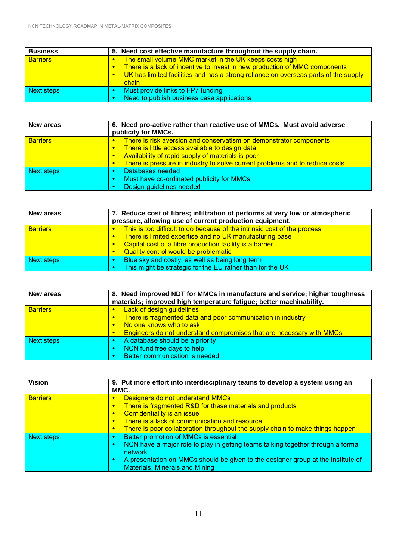| <b>Business</b> |                                                                                         | 5. Need cost effective manufacture throughout the supply chain.                     |
|-----------------|-----------------------------------------------------------------------------------------|-------------------------------------------------------------------------------------|
| <b>Barriers</b> |                                                                                         | The small volume MMC market in the UK keeps costs high                              |
|                 | There is a lack of incentive to invest in new production of MMC components<br>$\bullet$ |                                                                                     |
|                 |                                                                                         | UK has limited facilities and has a strong reliance on overseas parts of the supply |
|                 |                                                                                         | chain                                                                               |
| Next steps      |                                                                                         | Must provide links to FP7 funding                                                   |
|                 |                                                                                         | Need to publish business case applications                                          |

| <b>New areas</b>  | 6. Need pro-active rather than reactive use of MMCs. Must avoid adverse<br>publicity for MMCs.                                                                                                                                                                                                        |  |  |
|-------------------|-------------------------------------------------------------------------------------------------------------------------------------------------------------------------------------------------------------------------------------------------------------------------------------------------------|--|--|
| <b>Barriers</b>   | There is risk aversion and conservatism on demonstrator components<br>۰<br>There is little access available to design data<br>$\bullet$<br>Availability of rapid supply of materials is poor<br>$\bullet$<br>There is pressure in industry to solve current problems and to reduce costs<br>$\bullet$ |  |  |
| <b>Next steps</b> | Databases needed<br>Must have co-ordinated publicity for MMCs<br>Design guidelines needed                                                                                                                                                                                                             |  |  |

| New areas       | 7. Reduce cost of fibres; infiltration of performs at very low or atmospheric<br>pressure, allowing use of current production equipment.                                                                                                |  |  |
|-----------------|-----------------------------------------------------------------------------------------------------------------------------------------------------------------------------------------------------------------------------------------|--|--|
| <b>Barriers</b> | This is too difficult to do because of the intrinsic cost of the process<br>There is limited expertise and no UK manufacturing base<br>Capital cost of a fibre production facility is a barrier<br>Quality control would be problematic |  |  |
| Next steps      | Blue sky and costly, as well as being long term<br>This might be strategic for the EU rather than for the UK                                                                                                                            |  |  |

| <b>New areas</b> | 8. Need improved NDT for MMCs in manufacture and service; higher toughness<br>materials; improved high temperature fatigue; better machinability.                                                                                                             |  |  |
|------------------|---------------------------------------------------------------------------------------------------------------------------------------------------------------------------------------------------------------------------------------------------------------|--|--|
| <b>Barriers</b>  | <b>Lack of design guidelines</b><br>$\bullet$<br>There is fragmented data and poor communication in industry<br>$\bullet$<br>No one knows who to ask<br>$\bullet$<br><b>Engineers do not understand compromises that are necessary with MMCs</b><br>$\bullet$ |  |  |
| Next steps       | A database should be a priority<br>NCN fund free days to help<br>Better communication is needed                                                                                                                                                               |  |  |

| <b>Vision</b>   | 9. Put more effort into interdisciplinary teams to develop a system using an<br>MMC.                                                                                                                                                                                                                                           |  |  |
|-----------------|--------------------------------------------------------------------------------------------------------------------------------------------------------------------------------------------------------------------------------------------------------------------------------------------------------------------------------|--|--|
| <b>Barriers</b> | Designers do not understand MMCs<br>$\bullet$<br>There is fragmented R&D for these materials and products<br>$\bullet$<br>Confidentiality is an issue<br>$\bullet$<br>There is a lack of communication and resource<br>$\bullet$<br>There is poor collaboration throughout the supply chain to make things happen<br>$\bullet$ |  |  |
| Next steps      | Better promotion of MMCs is essential<br>٠<br>NCN have a major role to play in getting teams talking together through a formal<br>۰<br><b>network</b><br>A presentation on MMCs should be given to the designer group at the Institute of<br>٠<br><b>Materials, Minerals and Mining</b>                                        |  |  |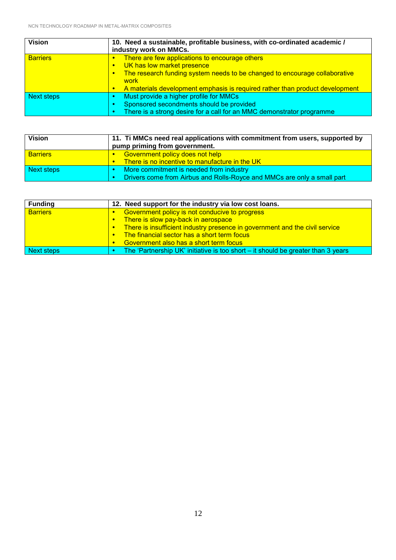| <b>Vision</b>     | 10. Need a sustainable, profitable business, with co-ordinated academic /<br>industry work on MMCs.                                                                                                                                                                                                    |  |
|-------------------|--------------------------------------------------------------------------------------------------------------------------------------------------------------------------------------------------------------------------------------------------------------------------------------------------------|--|
| <b>Barriers</b>   | There are few applications to encourage others<br>$\bullet$<br>UK has low market presence<br>$\bullet$<br>The research funding system needs to be changed to encourage collaborative<br>$\bullet$<br>work<br>A materials development emphasis is required rather than product development<br>$\bullet$ |  |
| <b>Next steps</b> | Must provide a higher profile for MMCs<br>Sponsored secondments should be provided<br>There is a strong desire for a call for an MMC demonstrator programme                                                                                                                                            |  |

| <b>Vision</b>                                         | 11. Ti MMCs need real applications with commitment from users, supported by<br>pump priming from government. |  |
|-------------------------------------------------------|--------------------------------------------------------------------------------------------------------------|--|
| <b>Barriers</b>                                       | <b>Government policy does not help</b>                                                                       |  |
|                                                       | There is no incentive to manufacture in the UK<br>$\bullet$                                                  |  |
| Next steps<br>More commitment is needed from industry |                                                                                                              |  |
|                                                       | Drivers come from Airbus and Rolls-Royce and MMCs are only a small part                                      |  |

| <b>Funding</b>                      | 12. Need support for the industry via low cost loans.                            |  |  |
|-------------------------------------|----------------------------------------------------------------------------------|--|--|
| <b>Barriers</b>                     | Government policy is not conducive to progress                                   |  |  |
| There is slow pay-back in aerospace |                                                                                  |  |  |
|                                     | There is insufficient industry presence in government and the civil service      |  |  |
|                                     | The financial sector has a short term focus                                      |  |  |
|                                     | Government also has a short term focus                                           |  |  |
| Next steps                          | The 'Partnership UK' initiative is too short – it should be greater than 3 years |  |  |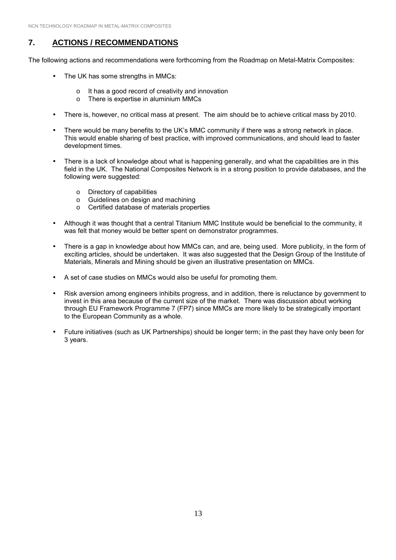# **7. ACTIONS / RECOMMENDATIONS**

The following actions and recommendations were forthcoming from the Roadmap on Metal-Matrix Composites:

- The UK has some strengths in MMCs:
	- o It has a good record of creativity and innovation
	- o There is expertise in aluminium MMCs
- There is, however, no critical mass at present. The aim should be to achieve critical mass by 2010.
- There would be many benefits to the UK's MMC community if there was a strong network in place. This would enable sharing of best practice, with improved communications, and should lead to faster development times.
- There is a lack of knowledge about what is happening generally, and what the capabilities are in this field in the UK. The National Composites Network is in a strong position to provide databases, and the following were suggested:
	- o Directory of capabilities
	- o Guidelines on design and machining
	- o Certified database of materials properties
- Although it was thought that a central Titanium MMC Institute would be beneficial to the community, it was felt that money would be better spent on demonstrator programmes.
- There is a gap in knowledge about how MMCs can, and are, being used. More publicity, in the form of exciting articles, should be undertaken. It was also suggested that the Design Group of the Institute of Materials, Minerals and Mining should be given an illustrative presentation on MMCs.
- A set of case studies on MMCs would also be useful for promoting them.
- Risk aversion among engineers inhibits progress, and in addition, there is reluctance by government to invest in this area because of the current size of the market. There was discussion about working through EU Framework Programme 7 (FP7) since MMCs are more likely to be strategically important to the European Community as a whole.
- Future initiatives (such as UK Partnerships) should be longer term; in the past they have only been for 3 years.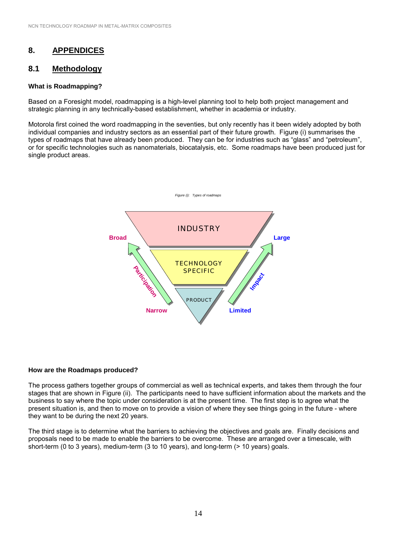# **8. APPENDICES**

#### **8.1 Methodology**

#### **What is Roadmapping?**

Based on a Foresight model, roadmapping is a high-level planning tool to help both project management and strategic planning in any technically-based establishment, whether in academia or industry.

Motorola first coined the word roadmapping in the seventies, but only recently has it been widely adopted by both individual companies and industry sectors as an essential part of their future growth. Figure (i) summarises the types of roadmaps that have already been produced. They can be for industries such as "glass" and "petroleum", or for specific technologies such as nanomaterials, biocatalysis, etc. Some roadmaps have been produced just for single product areas.



#### **How are the Roadmaps produced?**

The process gathers together groups of commercial as well as technical experts, and takes them through the four stages that are shown in Figure (ii). The participants need to have sufficient information about the markets and the business to say where the topic under consideration is at the present time. The first step is to agree what the present situation is, and then to move on to provide a vision of where they see things going in the future - where they want to be during the next 20 years.

The third stage is to determine what the barriers to achieving the objectives and goals are. Finally decisions and proposals need to be made to enable the barriers to be overcome. These are arranged over a timescale, with short-term (0 to 3 years), medium-term (3 to 10 years), and long-term (> 10 years) goals.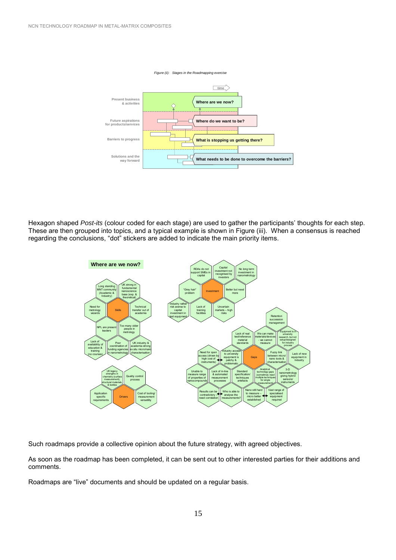

Hexagon shaped *Post-its* (colour coded for each stage) are used to gather the participants' thoughts for each step. These are then grouped into topics, and a typical example is shown in Figure (iii). When a consensus is reached regarding the conclusions, "dot" stickers are added to indicate the main priority items.



Such roadmaps provide a collective opinion about the future strategy, with agreed objectives.

As soon as the roadmap has been completed, it can be sent out to other interested parties for their additions and comments.

Roadmaps are "live" documents and should be updated on a regular basis.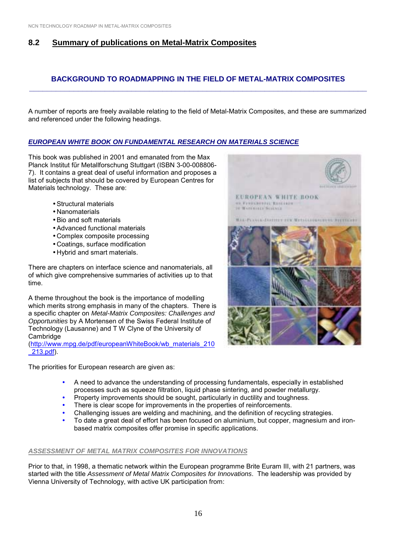# **8.2 Summary of publications on Metal-Matrix Composites**

#### **BACKGROUND TO ROADMAPPING IN THE FIELD OF METAL-MATRIX COMPOSITES \_\_\_\_\_\_\_\_\_\_\_\_\_\_\_\_\_\_\_\_\_\_\_\_\_\_\_\_\_\_\_\_\_\_\_\_\_\_\_\_\_\_\_\_\_\_\_\_\_\_\_\_\_\_\_\_\_\_\_\_\_\_\_\_\_\_\_\_\_\_\_\_\_\_\_\_**

A number of reports are freely available relating to the field of Metal-Matrix Composites, and these are summarized and referenced under the following headings.

#### *EUROPEAN WHITE BOOK ON FUNDAMENTAL RESEARCH ON MATERIALS SCIENCE*

This book was published in 2001 and emanated from the Max Planck Institut fűr Metallforschung Stuttgart (ISBN 3-00-008806- 7). It contains a great deal of useful information and proposes a list of subjects that should be covered by European Centres for Materials technology. These are:

- Structural materials
- Nanomaterials
- Bio and soft materials
- Advanced functional materials
- Complex composite processing
- Coatings, surface modification
- Hybrid and smart materials.

There are chapters on interface science and nanomaterials, all of which give comprehensive summaries of activities up to that time.

A theme throughout the book is the importance of modelling which merits strong emphasis in many of the chapters. There is a specific chapter on *Metal-Matrix Composites: Challenges and Opportunities* by A Mortensen of the Swiss Federal Institute of Technology (Lausanne) and T W Clyne of the University of **Cambridge** 

(http://www.mpg.de/pdf/europeanWhiteBook/wb\_materials\_210 \_213.pdf).

The priorities for European research are given as:

- " A need to advance the understanding of processing fundamentals, especially in established processes such as squeeze filtration, liquid phase sintering, and powder metallurgy.
- Property improvements should be sought, particularly in ductility and toughness.
- There is clear scope for improvements in the properties of reinforcements.
- Challenging issues are welding and machining, and the definition of recycling strategies.
- To date a great deal of effort has been focused on aluminium, but copper, magnesium and ironbased matrix composites offer promise in specific applications.

#### *ASSESSMENT OF METAL MATRIX COMPOSITES FOR INNOVATIONS*

Prior to that, in 1998, a thematic network within the European programme Brite Euram III, with 21 partners, was started with the title *Assessment of Metal Matrix Composites for Innovations*. The leadership was provided by Vienna University of Technology, with active UK participation from:

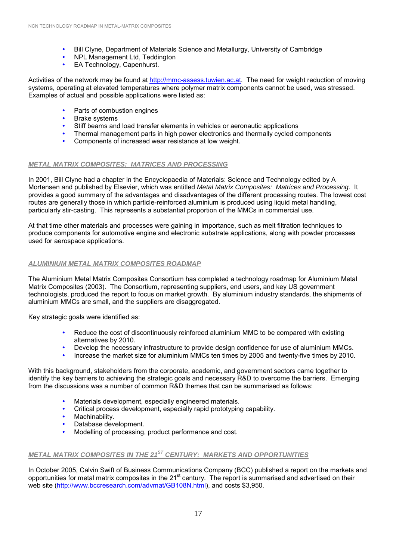- " Bill Clyne, Department of Materials Science and Metallurgy, University of Cambridge
- NPL Management Ltd, Teddington
- EA Technology, Capenhurst.

Activities of the network may be found at http://mmc-assess.tuwien.ac.at. The need for weight reduction of moving systems, operating at elevated temperatures where polymer matrix components cannot be used, was stressed. Examples of actual and possible applications were listed as:

- Parts of combustion engines
- **Brake systems**
- Stiff beams and load transfer elements in vehicles or aeronautic applications
- " Thermal management parts in high power electronics and thermally cycled components
- Components of increased wear resistance at low weight.

#### *METAL MATRIX COMPOSITES: MATRICES AND PROCESSING*

In 2001, Bill Clyne had a chapter in the Encyclopaedia of Materials: Science and Technology edited by A Mortensen and published by Elsevier, which was entitled *Metal Matrix Composites: Matrices and Processing*. It provides a good summary of the advantages and disadvantages of the different processing routes. The lowest cost routes are generally those in which particle-reinforced aluminium is produced using liquid metal handling, particularly stir-casting. This represents a substantial proportion of the MMCs in commercial use.

At that time other materials and processes were gaining in importance, such as melt filtration techniques to produce components for automotive engine and electronic substrate applications, along with powder processes used for aerospace applications.

#### *ALUMINIUM METAL MATRIX COMPOSITES ROADMAP*

The Aluminium Metal Matrix Composites Consortium has completed a technology roadmap for Aluminium Metal Matrix Composites (2003). The Consortium, representing suppliers, end users, and key US government technologists, produced the report to focus on market growth. By aluminium industry standards, the shipments of aluminium MMCs are small, and the suppliers are disaggregated.

Key strategic goals were identified as:

- Reduce the cost of discontinuously reinforced aluminium MMC to be compared with existing alternatives by 2010.
- Develop the necessary infrastructure to provide design confidence for use of aluminium MMCs.
- Increase the market size for aluminium MMCs ten times by 2005 and twenty-five times by 2010.

With this background, stakeholders from the corporate, academic, and government sectors came together to identify the key barriers to achieving the strategic goals and necessary R&D to overcome the barriers. Emerging from the discussions was a number of common R&D themes that can be summarised as follows:

- Materials development, especially engineered materials.
- Critical process development, especially rapid prototyping capability.
- Machinability.
- Database development.
- Modelling of processing, product performance and cost.

### *METAL MATRIX COMPOSITES IN THE 21ST CENTURY: MARKETS AND OPPORTUNITIES*

In October 2005, Calvin Swift of Business Communications Company (BCC) published a report on the markets and opportunities for metal matrix composites in the 21st century. The report is summarised and advertised on their web site (http://www.bccresearch.com/advmat/GB108N.html), and costs \$3,950.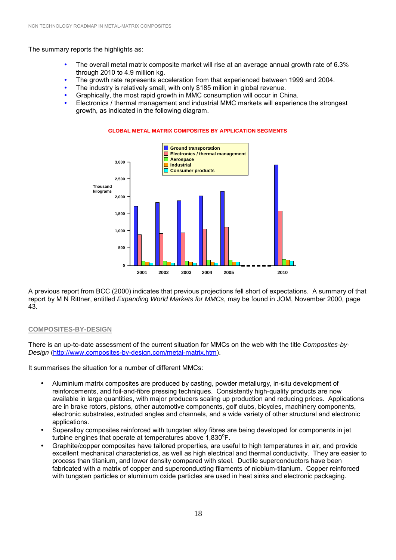The summary reports the highlights as:

- The overall metal matrix composite market will rise at an average annual growth rate of 6.3% through 2010 to 4.9 million kg.
- The growth rate represents acceleration from that experienced between 1999 and 2004.
- The industry is relatively small, with only \$185 million in global revenue.
- Graphically, the most rapid growth in MMC consumption will occur in China.
- Electronics / thermal management and industrial MMC markets will experience the strongest growth, as indicated in the following diagram.



**GLOBAL METAL MATRIX COMPOSITES BY APPLICATION SEGMENTS**

A previous report from BCC (2000) indicates that previous projections fell short of expectations. A summary of that report by M N Rittner, entitled *Expanding World Markets for MMCs*, may be found in JOM, November 2000, page 43.

#### **COMPOSITES-BY-DESIGN**

There is an up-to-date assessment of the current situation for MMCs on the web with the title *Composites-by-Design* (http://www.composites-by-design.com/metal-matrix.htm).

It summarises the situation for a number of different MMCs:

- Aluminium matrix composites are produced by casting, powder metallurgy, in-situ development of reinforcements, and foil-and-fibre pressing techniques. Consistently high-quality products are now available in large quantities, with major producers scaling up production and reducing prices. Applications are in brake rotors, pistons, other automotive components, golf clubs, bicycles, machinery components, electronic substrates, extruded angles and channels, and a wide variety of other structural and electronic applications.
- Superalloy composites reinforced with tungsten alloy fibres are being developed for components in jet turbine engines that operate at temperatures above 1,830°F.
- Graphite/copper composites have tailored properties, are useful to high temperatures in air, and provide excellent mechanical characteristics, as well as high electrical and thermal conductivity. They are easier to process than titanium, and lower density compared with steel. Ductile superconductors have been fabricated with a matrix of copper and superconducting filaments of niobium-titanium. Copper reinforced with tungsten particles or aluminium oxide particles are used in heat sinks and electronic packaging.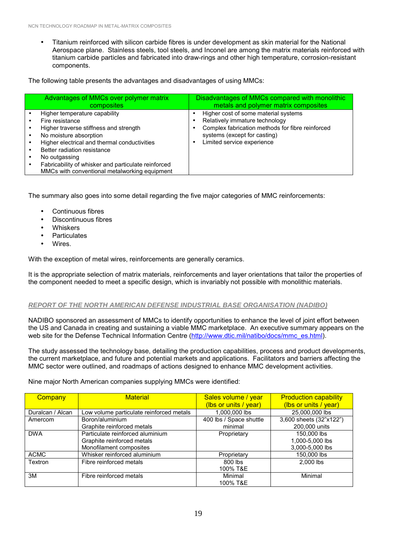• Titanium reinforced with silicon carbide fibres is under development as skin material for the National Aerospace plane. Stainless steels, tool steels, and Inconel are among the matrix materials reinforced with titanium carbide particles and fabricated into draw-rings and other high temperature, corrosion-resistant components.

The following table presents the advantages and disadvantages of using MMCs:

| Advantages of MMCs over polymer matrix<br>composites                                                                                                                                                                                                                                                                         | Disadvantages of MMCs compared with monolithic<br>metals and polymer matrix composites                                                                                                   |
|------------------------------------------------------------------------------------------------------------------------------------------------------------------------------------------------------------------------------------------------------------------------------------------------------------------------------|------------------------------------------------------------------------------------------------------------------------------------------------------------------------------------------|
| Higher temperature capability<br>Fire resistance<br>Higher traverse stiffness and strength<br>No moisture absorption<br>Higher electrical and thermal conductivities<br>Better radiation resistance<br>No outgassing<br>Fabricability of whisker and particulate reinforced<br>MMCs with conventional metalworking equipment | Higher cost of some material systems<br>Relatively immature technology<br>Complex fabrication methods for fibre reinforced<br>systems (except for casting)<br>Limited service experience |

The summary also goes into some detail regarding the five major categories of MMC reinforcements:

- Continuous fibres
- Discontinuous fibres
- **Whiskers**
- **Particulates**
- Wires.

With the exception of metal wires, reinforcements are generally ceramics.

It is the appropriate selection of matrix materials, reinforcements and layer orientations that tailor the properties of the component needed to meet a specific design, which is invariably not possible with monolithic materials.

#### *REPORT OF THE NORTH AMERICAN DEFENSE INDUSTRIAL BASE ORGANISATION (NADIBO)*

NADIBO sponsored an assessment of MMCs to identify opportunities to enhance the level of joint effort between the US and Canada in creating and sustaining a viable MMC marketplace. An executive summary appears on the web site for the Defense Technical Information Centre (http://www.dtic.mil/natibo/docs/mmc\_es.html).

The study assessed the technology base, detailing the production capabilities, process and product developments, the current marketplace, and future and potential markets and applications. Facilitators and barriers affecting the MMC sector were outlined, and roadmaps of actions designed to enhance MMC development activities.

Nine major North American companies supplying MMCs were identified:

| Company          | <b>Material</b>                          | Sales volume / year     | <b>Production capability</b> |
|------------------|------------------------------------------|-------------------------|------------------------------|
|                  |                                          | (lbs or units / year)   | (lbs or units / year)        |
| Duralcan / Alcan | Low volume particulate reinforced metals | 1,000,000 lbs           | 25,000,000 lbs               |
| Amercom          | Boron/aluminium                          | 400 lbs / Space shuttle | 3,600 sheets (32"x122")      |
|                  | Graphite reinforced metals               | minimal                 | 200,000 units                |
| <b>DWA</b>       | Particulate reinforced aluminium         | Proprietary             | 150,000 lbs                  |
|                  | Graphite reinforced metals               |                         | 1,000-5,000 lbs              |
|                  | Monofilament composites                  |                         | 3,000-5,000 lbs              |
| <b>ACMC</b>      | Whisker reinforced aluminium             | Proprietary             | 150,000 lbs                  |
| Textron          | Fibre reinforced metals                  | 800 lbs                 | 2.000 lbs                    |
|                  |                                          | 100% T&E                |                              |
| 3M               | Fibre reinforced metals                  | Minimal                 | Minimal                      |
|                  |                                          | 100% T&E                |                              |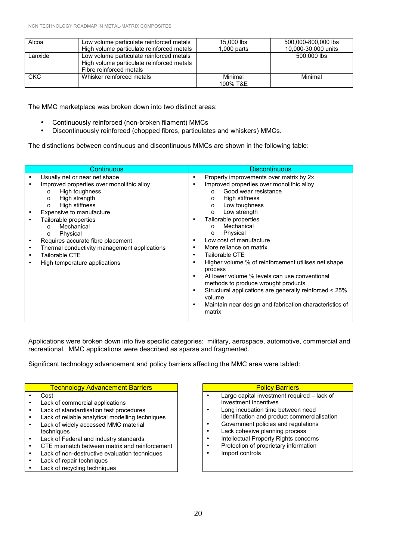| Alcoa      | Low volume particulate reinforced metals<br>High volume particulate reinforced metals                            | 15,000 lbs<br>$1,000$ parts | 500.000-800.000 lbs<br>10,000-30,000 units |
|------------|------------------------------------------------------------------------------------------------------------------|-----------------------------|--------------------------------------------|
| Lanxide    | Low volume particulate reinforced metals<br>High volume particulate reinforced metals<br>Fibre reinforced metals |                             | 500,000 lbs                                |
| <b>CKC</b> | Whisker reinforced metals                                                                                        | Minimal<br>100% T&E         | Minimal                                    |

The MMC marketplace was broken down into two distinct areas:

- Continuously reinforced (non-broken filament) MMCs
- Discontinuously reinforced (chopped fibres, particulates and whiskers) MMCs.

The distinctions between continuous and discontinuous MMCs are shown in the following table:

| Continuous                                                                                                                                                                                                                                                                                                                                                                                               | <b>Discontinuous</b>                                                                                                                                                                                                                                                                                                                                                                                                                                                                                                                                                                                                                                                                               |  |
|----------------------------------------------------------------------------------------------------------------------------------------------------------------------------------------------------------------------------------------------------------------------------------------------------------------------------------------------------------------------------------------------------------|----------------------------------------------------------------------------------------------------------------------------------------------------------------------------------------------------------------------------------------------------------------------------------------------------------------------------------------------------------------------------------------------------------------------------------------------------------------------------------------------------------------------------------------------------------------------------------------------------------------------------------------------------------------------------------------------------|--|
| Usually net or near net shape<br>Improved properties over monolithic alloy<br>High toughness<br>$\circ$<br>High strength<br>$\circ$<br>High stiffness<br>$\circ$<br>Expensive to manufacture<br>Tailorable properties<br>Mechanical<br>$\Omega$<br>Physical<br>O<br>Requires accurate fibre placement<br>Thermal conductivity management applications<br>Tailorable CTE<br>High temperature applications | Property improvements over matrix by 2x<br>$\bullet$<br>Improved properties over monolithic alloy<br>Good wear resistance<br>$\cap$<br>High stiffness<br>$\circ$<br>Low toughness<br>$\circ$<br>Low strength<br>$\Omega$<br>Tailorable properties<br>Mechanical<br>$\cap$<br>Physical<br>$\circ$<br>Low cost of manufacture<br>More reliance on matrix<br>Tailorable CTE<br>٠<br>Higher volume % of reinforcement utilises net shape<br>process<br>At lower volume % levels can use conventional<br>methods to produce wrought products<br>Structural applications are generally reinforced < 25%<br>$\bullet$<br>volume<br>Maintain near design and fabrication characteristics of<br>٠<br>matrix |  |

Applications were broken down into five specific categories: military, aerospace, automotive, commercial and recreational. MMC applications were described as sparse and fragmented.

Significant technology advancement and policy barriers affecting the MMC area were tabled:

#### Technology Advancement Barriers **Policy Barriers** Policy Barriers

- Cost
- Lack of commercial applications
- Lack of standardisation test procedures
- Lack of reliable analytical modelling techniques
- Lack of widely accessed MMC material techniques
- Lack of Federal and industry standards
- CTE mismatch between matrix and reinforcement
- Lack of non-destructive evaluation techniques
- Lack of repair techniques
- Lack of recycling techniques

- $\bullet$  Large capital investment required  $-$  lack of investment incentives
- Long incubation time between need identification and product commercialisation
- Government policies and regulations
- Lack cohesive planning process
- Intellectual Property Rights concerns
- Protection of proprietary information
- Import controls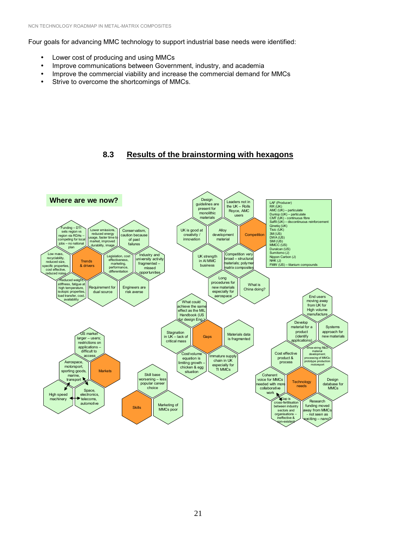Four goals for advancing MMC technology to support industrial base needs were identified:

- Lower cost of producing and using MMCs
- Improve communications between Government, industry, and academia
- Improve the commercial viability and increase the commercial demand for MMCs
- Strive to overcome the shortcomings of MMCs.

# **8.3 Results of the brainstorming with hexagons**

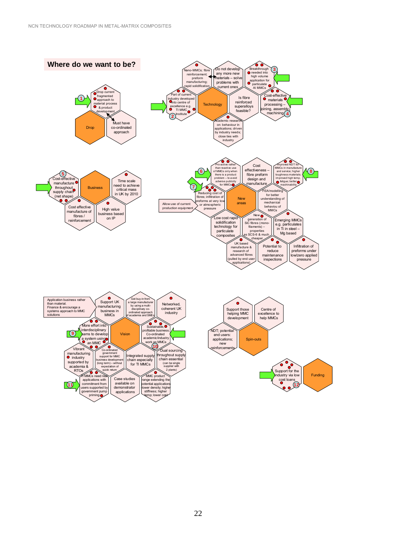government support for MMC business development<br>(long term) – without expectation of the controller of the controller of the controller of the controller of the controller of the co<br>Posterior controller of the controller of the controller of the controller of the controller of the controller quick return

> Case studies available on demonstrator applications

manufacturing<br><sup>O</sup> industry supported by academia & RTOs

**11**

 $\frac{3s}{\sqrt{N}}$  MMCs n applications with commitment from users supported by government pump priming

à

Integrated supply chain especially for TI MMCs

 $MMC$  produc range extending the potential applications -lower density; higher stiffness; higher ncoo, r<br>ip; lowe

Dual sourcing throughout supply chain essential (can be single supplier with 2 plan





Funding

Support for the industry via low cost loans **12**

 $\bullet$   $\bullet$ 

ó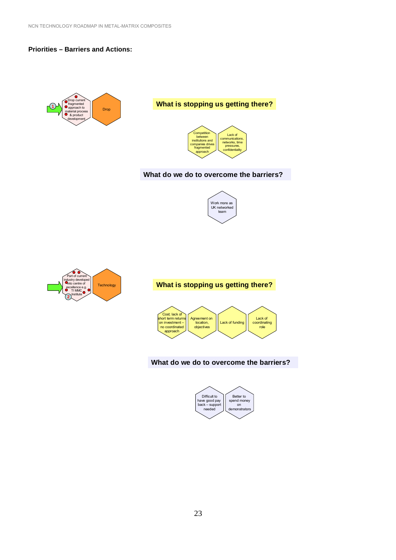#### **Priorities – Barriers and Actions:**



# **What is stopping us getting there?**



#### **What do we do to overcome the barriers?**





#### **What is stopping us getting there?**



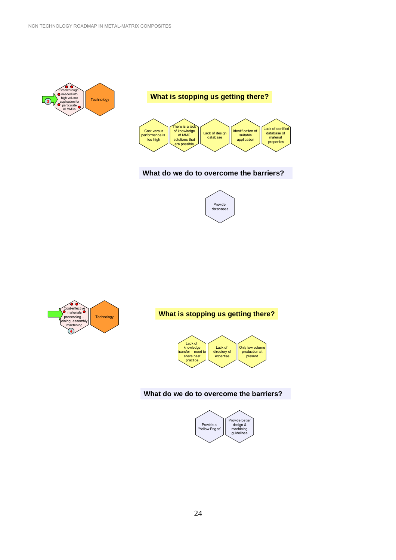



#### **What do we do to overcome the barriers?**





#### **What is stopping us getting there?**



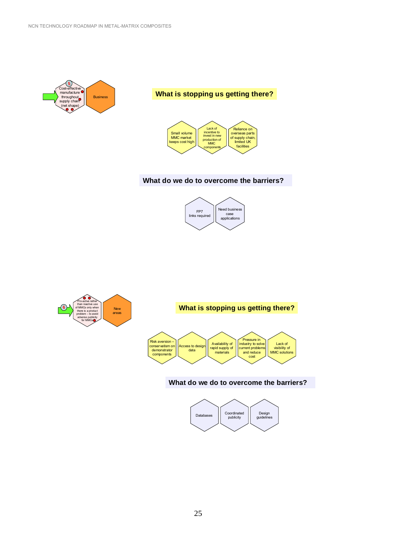







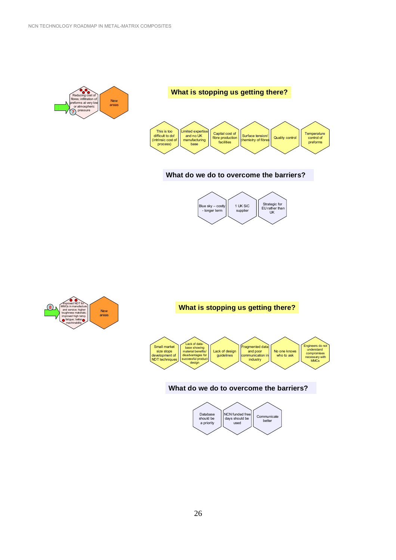



#### **What do we do to overcome the barriers?**





#### **What is stopping us getting there?**



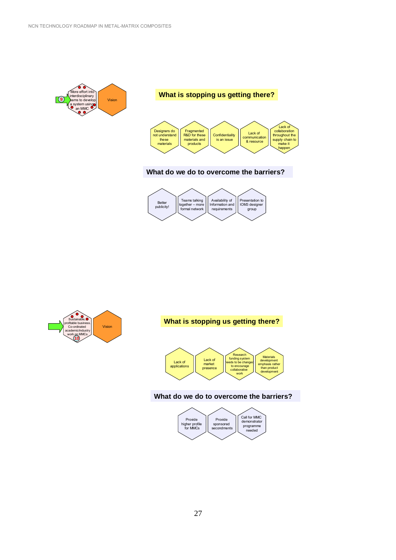



#### **What do we do to overcome the barriers?**





### **What is stopping us getting there?**